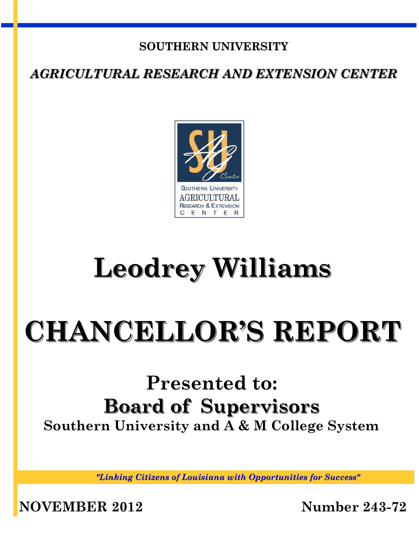## **SOUTHERN UNIVERSITY**

*AGRICULTURAL RESEARCH AND EXTENSION CENTER*



## **Leodrey Williams**

# **CHANCELLOR'S REPORT**

## **Presented to: Board of Supervisors Southern University and A & M College System**

*"Linking Citizens of Louisiana with Opportunities for Success"*

**NOVEMBER 2012 Number 243-72**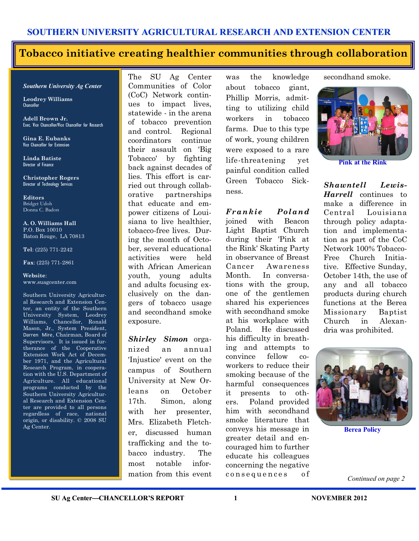#### **Tobacco initiative creating healthier communities through collaboration**

#### *Southern University Ag Center*

**Leodrey Williams**  Chancellor

**Adell Brown Jr.**  Exec. Vice Chancellor/Vice Chancellor for Research

**Gina E. Eubanks** Vice Chancellor for Extension

**Linda Batiste** Director of Finance

**Christopher Rogers** Director of Technology Services

**Editors** Bridget Udoh Donna C. Badon

**A. O. Williams Hall** P.O. Box 10010 Baton Rouge, LA 70813

**Tel**: (225) 771-2242

**Fax**: (225) 771-2861

**Website**: www.suagcenter.com

Southern University Agricultural Research and Extension Center, an entity of the Southern University System, Leodrey Williams, Chancellor, Ronald Mason, Jr., System President, Darren Mire, Chairman, Board of Supervisors. It is issued in furtherance of the Cooperative Extension Work Act of December 1971, and the Agricultural Research Program, in cooperation with the U.S. Department of Agriculture. All educational programs conducted by the Southern University Agricultural Research and Extension Center are provided to all persons regardless of race, national origin, or disability. © 2008 SU Ag Center.

The SU Ag Center Communities of Color (CoC) Network continues to impact lives, statewide - in the arena of tobacco prevention and control. Regional coordinators continue their assault on 'Big Tobacco' by fighting back against decades of lies. This effort is carried out through collaborative partnerships that educate and empower citizens of Louisiana to live healthier, tobacco-free lives. During the month of October, several educational activities were held with African American youth, young adults and adults focusing exclusively on the dangers of tobacco usage and secondhand smoke exposure.

*Shirley Simon* organized an annual 'Injustice' event on the campus of Southern University at New Orleans on October 17th. Simon, along with her presenter, Mrs. Elizabeth Fletcher, discussed human trafficking and the tobacco industry. The most notable information from this event

was the knowledge about tobacco giant, Phillip Morris, admitting to utilizing child workers in tobacco farms. Due to this type of work, young children were exposed to a rare life-threatening yet painful condition called Green Tobacco Sickness.

*Frankie Poland*  joined with Beacon Light Baptist Church during their 'Pink at the Rink' Skating Party in observance of Breast Cancer Awareness Month. In conversations with the group, one of the gentlemen shared his experiences with secondhand smoke at his workplace with Poland. He discussed his difficulty in breathing and attempts to convince fellow coworkers to reduce their smoking because of the harmful consequences it presents to others. Poland provided him with secondhand smoke literature that conveys his message in greater detail and encouraged him to further educate his colleagues concerning the negative consequences of

secondhand smoke.



**Pink at the Rink**

*Shawntell Lewis-Harrell* continues to make a difference in Central Louisiana through policy adaptation and implementation as part of the CoC Network 100% Tobacco-Free Church Initiative. Effective Sunday, October 14th, the use of any and all tobacco products during church functions at the Berea Missionary Baptist Church in Alexandria was prohibited.



**Berea Policy**

*Continued on page 2*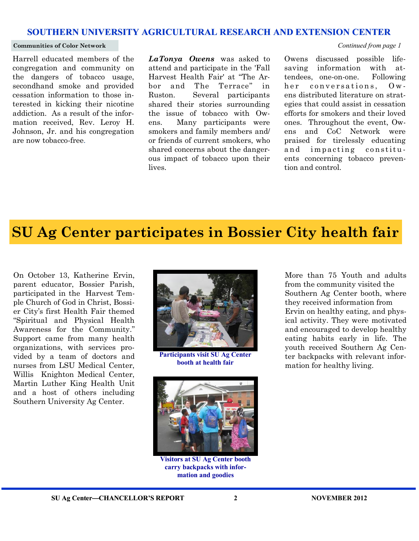#### **Communities of Color Network** *Continued from page 1*

Harrell educated members of the congregation and community on the dangers of tobacco usage, secondhand smoke and provided cessation information to those interested in kicking their nicotine addiction. As a result of the information received, Rev. Leroy H. Johnson, Jr. and his congregation are now tobacco-free.

*LaTonya Owens* was asked to attend and participate in the 'Fall Harvest Health Fair' at "The Arbor and The Terrace" in Ruston. Several participants shared their stories surrounding the issue of tobacco with Owens. Many participants were smokers and family members and/ or friends of current smokers, who shared concerns about the dangerous impact of tobacco upon their lives.

Owens discussed possible lifesaving information with attendees, one-on-one. Following her conversations. Owens distributed literature on strategies that could assist in cessation efforts for smokers and their loved ones. Throughout the event, Owens and CoC Network were praised for tirelessly educating and impacting constituents concerning tobacco prevention and control.

## **SU Ag Center participates in Bossier City health fair**

On October 13, Katherine Ervin, parent educator, Bossier Parish, participated in the Harvest Temple Church of God in Christ, Bossier City's first Health Fair themed "Spiritual and Physical Health Awareness for the Community." Support came from many health organizations, with services provided by a team of doctors and nurses from LSU Medical Center, Willis Knighton Medical Center, Martin Luther King Health Unit and a host of others including Southern University Ag Center.



**Participants visit SU Ag Center booth at health fair**



**Visitors at SU Ag Center booth carry backpacks with information and goodies**

More than 75 Youth and adults from the community visited the Southern Ag Center booth, where they received information from Ervin on healthy eating, and physical activity. They were motivated and encouraged to develop healthy eating habits early in life. The youth received Southern Ag Center backpacks with relevant information for healthy living.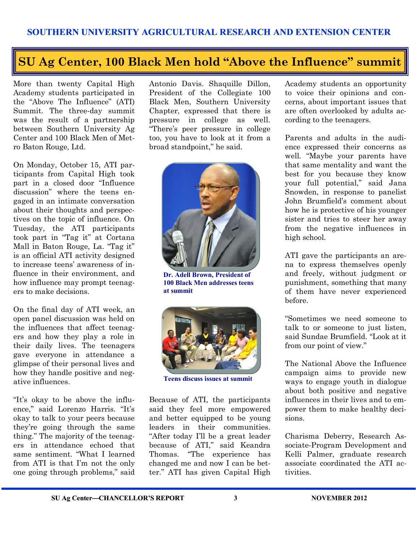## **SU Ag Center, 100 Black Men hold "Above the Influence" summit**

More than twenty Capital High Academy students participated in the "Above The Influence" (ATI) Summit. The three-day summit was the result of a partnership between Southern University Ag Center and 100 Black Men of Metro Baton Rouge, Ltd.

On Monday, October 15, ATI participants from Capital High took part in a closed door "Influence discussion" where the teens engaged in an intimate conversation about their thoughts and perspectives on the topic of influence. On Tuesday, the ATI participants took part in "Tag it" at Cortana Mall in Baton Rouge, La. "Tag it" is an official ATI activity designed to increase teens' awareness of influence in their environment, and how influence may prompt teenagers to make decisions.

On the final day of ATI week, an open panel discussion was held on the influences that affect teenagers and how they play a role in their daily lives. The teenagers gave everyone in attendance a glimpse of their personal lives and how they handle positive and negative influences.

"It's okay to be above the influence," said Lorenzo Harris. "It's okay to talk to your peers because they're going through the same thing." The majority of the teenagers in attendance echoed that same sentiment. "What I learned from ATI is that I'm not the only one going through problems," said Antonio Davis. Shaquille Dillon, President of the Collegiate 100 Black Men, Southern University Chapter, expressed that there is pressure in college as well. "There's peer pressure in college too, you have to look at it from a broad standpoint," he said.



**Dr. Adell Brown, President of 100 Black Men addresses teens at summit**



**Teens discuss issues at summit**

Because of ATI, the participants said they feel more empowered and better equipped to be young leaders in their communities. "After today I'll be a great leader because of ATI," said Keandra Thomas. "The experience has changed me and now I can be better." ATI has given Capital High

Academy students an opportunity to voice their opinions and concerns, about important issues that are often overlooked by adults according to the teenagers.

Parents and adults in the audience expressed their concerns as well. "Maybe your parents have that same mentality and want the best for you because they know your full potential," said Jana Snowden, in response to panelist John Brumfield's comment about how he is protective of his younger sister and tries to steer her away from the negative influences in high school.

ATI gave the participants an arena to express themselves openly and freely, without judgment or punishment, something that many of them have never experienced before.

"Sometimes we need someone to talk to or someone to just listen, said Sundae Brumfield. "Look at it from our point of view."

The National Above the Influence campaign aims to provide new ways to engage youth in dialogue about both positive and negative influences in their lives and to empower them to make healthy decisions.

Charisma Deberry, Research Associate-Program Development and Kelli Palmer, graduate research associate coordinated the ATI activities.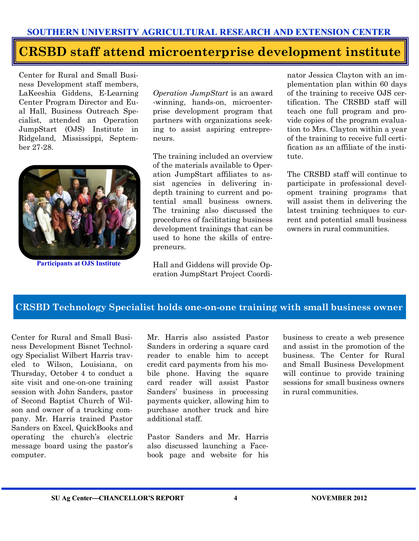## **CRSBD staff attend microenterprise development institute**

Center for Rural and Small Business Development staff members, LaKeeshia Giddens, E-Learning Center Program Director and Eual Hall, Business Outreach Specialist, attended an Operation JumpStart (OJS) Institute in Ridgeland, Mississippi, September 27-28.



**Participants at OJS Institute**

*Operation JumpStart* is an award -winning, hands-on, microenterprise development program that partners with organizations seeking to assist aspiring entrepreneurs.

The training included an overview of the materials available to Operation JumpStart affiliates to assist agencies in delivering indepth training to current and potential small business owners. The training also discussed the procedures of facilitating business development trainings that can be used to hone the skills of entrepreneurs.

Hall and Giddens will provide Operation JumpStart Project Coordi-

nator Jessica Clayton with an implementation plan within 60 days of the training to receive OJS certification. The CRSBD staff will teach one full program and provide copies of the program evaluation to Mrs. Clayton within a year of the training to receive full certification as an affiliate of the institute.

The CRSBD staff will continue to participate in professional development training programs that will assist them in delivering the latest training techniques to current and potential small business owners in rural communities.

#### **CRSBD Technology Specialist holds one-on-one training with small business owner**

Center for Rural and Small Business Development Bisnet Technology Specialist Wilbert Harris traveled to Wilson, Louisiana, on Thursday, October 4 to conduct a site visit and one-on-one training session with John Sanders, pastor of Second Baptist Church of Wilson and owner of a trucking company. Mr. Harris trained Pastor Sanders on Excel, QuickBooks and operating the church's electric message board using the pastor's computer.

Mr. Harris also assisted Pastor Sanders in ordering a square card reader to enable him to accept credit card payments from his mobile phone. Having the square card reader will assist Pastor Sanders' business in processing payments quicker, allowing him to purchase another truck and hire additional staff.

Pastor Sanders and Mr. Harris also discussed launching a Facebook page and website for his business to create a web presence and assist in the promotion of the business. The Center for Rural and Small Business Development will continue to provide training sessions for small business owners in rural communities.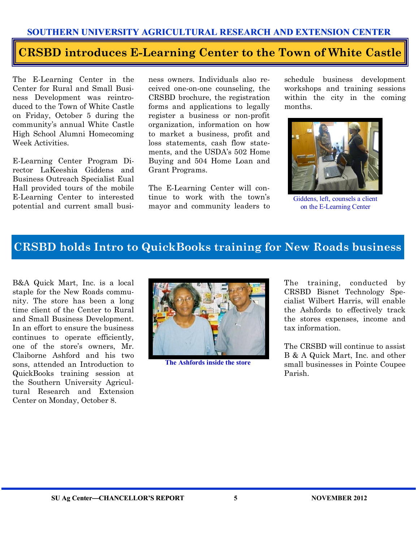### **CRSBD introduces E-Learning Center to the Town of White Castle**

The E-Learning Center in the Center for Rural and Small Business Development was reintroduced to the Town of White Castle on Friday, October 5 during the community's annual White Castle High School Alumni Homecoming Week Activities.

E-Learning Center Program Director LaKeeshia Giddens and Business Outreach Specialist Eual Hall provided tours of the mobile E-Learning Center to interested potential and current small business owners. Individuals also received one-on-one counseling, the CRSBD brochure, the registration forms and applications to legally register a business or non-profit organization, information on how to market a business, profit and loss statements, cash flow statements, and the USDA's 502 Home Buying and 504 Home Loan and Grant Programs.

The E-Learning Center will continue to work with the town's mayor and community leaders to schedule business development workshops and training sessions within the city in the coming months.



Giddens, left, counsels a client on the E-Learning Center

#### **CRSBD holds Intro to QuickBooks training for New Roads business**

B&A Quick Mart, Inc. is a local staple for the New Roads community. The store has been a long time client of the Center to Rural and Small Business Development. In an effort to ensure the business continues to operate efficiently, one of the store's owners, Mr. Claiborne Ashford and his two sons, attended an Introduction to QuickBooks training session at the Southern University Agricultural Research and Extension Center on Monday, October 8.



**The Ashfords inside the store**

The training, conducted by CRSBD Bisnet Technology Specialist Wilbert Harris, will enable the Ashfords to effectively track the stores expenses, income and tax information.

The CRSBD will continue to assist B & A Quick Mart, Inc. and other small businesses in Pointe Coupee Parish.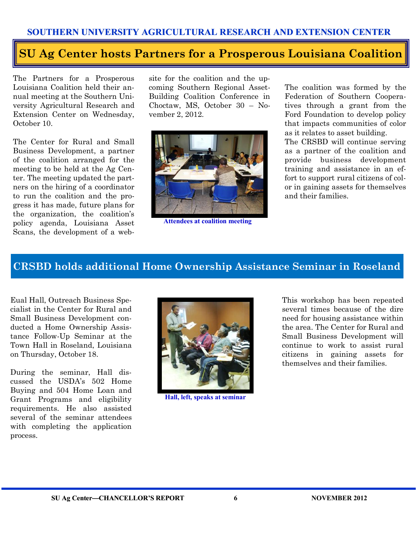## **SU Ag Center hosts Partners for a Prosperous Louisiana Coalition**

The Partners for a Prosperous Louisiana Coalition held their annual meeting at the Southern University Agricultural Research and Extension Center on Wednesday, October 10.

The Center for Rural and Small Business Development, a partner of the coalition arranged for the meeting to be held at the Ag Center. The meeting updated the partners on the hiring of a coordinator to run the coalition and the progress it has made, future plans for the organization, the coalition's policy agenda, Louisiana Asset Scans, the development of a web-

site for the coalition and the upcoming Southern Regional Asset-Building Coalition Conference in Choctaw, MS, October 30 – November 2, 2012.



**Attendees at coalition meeting** 

The coalition was formed by the Federation of Southern Cooperatives through a grant from the Ford Foundation to develop policy that impacts communities of color as it relates to asset building. The CRSBD will continue serving as a partner of the coalition and provide business development training and assistance in an effort to support rural citizens of color in gaining assets for themselves and their families.

#### **CRSBD holds additional Home Ownership Assistance Seminar in Roseland**

Eual Hall, Outreach Business Specialist in the Center for Rural and Small Business Development conducted a Home Ownership Assistance Follow-Up Seminar at the Town Hall in Roseland, Louisiana on Thursday, October 18.

During the seminar, Hall discussed the USDA's 502 Home Buying and 504 Home Loan and Grant Programs and eligibility requirements. He also assisted several of the seminar attendees with completing the application process.



**Hall, left, speaks at seminar**

This workshop has been repeated several times because of the dire need for housing assistance within the area. The Center for Rural and Small Business Development will continue to work to assist rural citizens in gaining assets for themselves and their families.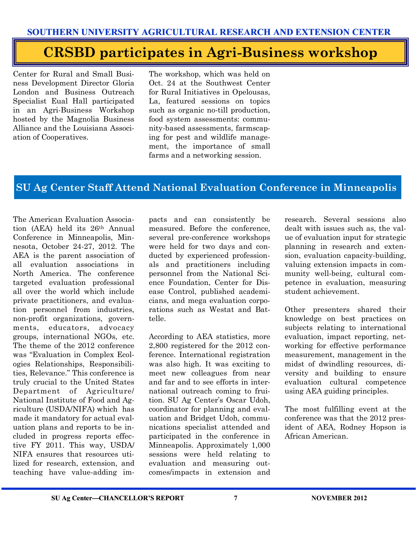## **CRSBD participates in Agri-Business workshop**

Center for Rural and Small Business Development Director Gloria London and Business Outreach Specialist Eual Hall participated in an Agri-Business Workshop hosted by the Magnolia Business Alliance and the Louisiana Association of Cooperatives.

The workshop, which was held on Oct. 24 at the Southwest Center for Rural Initiatives in Opelousas, La, featured sessions on topics such as organic no-till production, food system assessments: community-based assessments, farmscaping for pest and wildlife management, the importance of small farms and a networking session.

#### **SU Ag Center Staff Attend National Evaluation Conference in Minneapolis**

The American Evaluation Association (AEA) held its 26th Annual Conference in Minneapolis, Minnesota, October 24-27, 2012. The AEA is the parent association of all evaluation associations in North America. The conference targeted evaluation professional all over the world which include private practitioners, and evaluation personnel from industries, non-profit organizations, governments, educators, advocacy groups, international NGOs, etc. The theme of the 2012 conference was "Evaluation in Complex Ecologies Relationships, Responsibilities, Relevance." This conference is truly crucial to the United States Department of Agriculture/ National Institute of Food and Agriculture (USDA/NIFA) which has made it mandatory for actual evaluation plans and reports to be included in progress reports effective FY 2011. This way, USDA/ NIFA ensures that resources utilized for research, extension, and teaching have value-adding im-

pacts and can consistently be measured. Before the conference, several pre-conference workshops were held for two days and conducted by experienced professionals and practitioners including personnel from the National Science Foundation, Center for Disease Control, published academicians, and mega evaluation corporations such as Westat and Battelle.

According to AEA statistics, more 2,800 registered for the 2012 conference. International registration was also high. It was exciting to meet new colleagues from near and far and to see efforts in international outreach coming to fruition. SU Ag Center's Oscar Udoh, coordinator for planning and evaluation and Bridget Udoh, communications specialist attended and participated in the conference in Minneapolis. Approximately 1,000 sessions were held relating to evaluation and measuring outcomes/impacts in extension and

research. Several sessions also dealt with issues such as, the value of evaluation input for strategic planning in research and extension, evaluation capacity-building, valuing extension impacts in community well-being, cultural competence in evaluation, measuring student achievement.

Other presenters shared their knowledge on best practices on subjects relating to international evaluation, impact reporting, networking for effective performance measurement, management in the midst of dwindling resources, diversity and building to ensure evaluation cultural competence using AEA guiding principles.

The most fulfilling event at the conference was that the 2012 president of AEA, Rodney Hopson is African American.